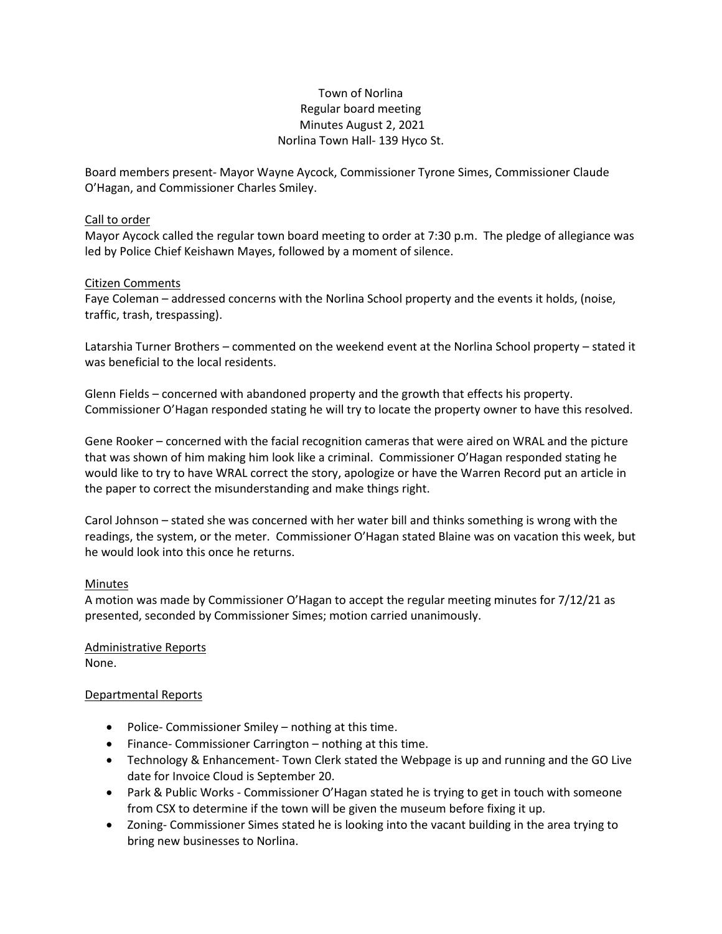# Town of Norlina Regular board meeting Minutes August 2, 2021 Norlina Town Hall- 139 Hyco St.

Board members present- Mayor Wayne Aycock, Commissioner Tyrone Simes, Commissioner Claude O'Hagan, and Commissioner Charles Smiley.

#### Call to order

Mayor Aycock called the regular town board meeting to order at 7:30 p.m. The pledge of allegiance was led by Police Chief Keishawn Mayes, followed by a moment of silence.

## Citizen Comments

Faye Coleman – addressed concerns with the Norlina School property and the events it holds, (noise, traffic, trash, trespassing).

Latarshia Turner Brothers – commented on the weekend event at the Norlina School property – stated it was beneficial to the local residents.

Glenn Fields – concerned with abandoned property and the growth that effects his property. Commissioner O'Hagan responded stating he will try to locate the property owner to have this resolved.

Gene Rooker – concerned with the facial recognition cameras that were aired on WRAL and the picture that was shown of him making him look like a criminal. Commissioner O'Hagan responded stating he would like to try to have WRAL correct the story, apologize or have the Warren Record put an article in the paper to correct the misunderstanding and make things right.

Carol Johnson – stated she was concerned with her water bill and thinks something is wrong with the readings, the system, or the meter. Commissioner O'Hagan stated Blaine was on vacation this week, but he would look into this once he returns.

## Minutes

A motion was made by Commissioner O'Hagan to accept the regular meeting minutes for 7/12/21 as presented, seconded by Commissioner Simes; motion carried unanimously.

Administrative Reports None.

## Departmental Reports

- Police- Commissioner Smiley nothing at this time.
- Finance- Commissioner Carrington nothing at this time.
- Technology & Enhancement- Town Clerk stated the Webpage is up and running and the GO Live date for Invoice Cloud is September 20.
- Park & Public Works Commissioner O'Hagan stated he is trying to get in touch with someone from CSX to determine if the town will be given the museum before fixing it up.
- Zoning- Commissioner Simes stated he is looking into the vacant building in the area trying to bring new businesses to Norlina.